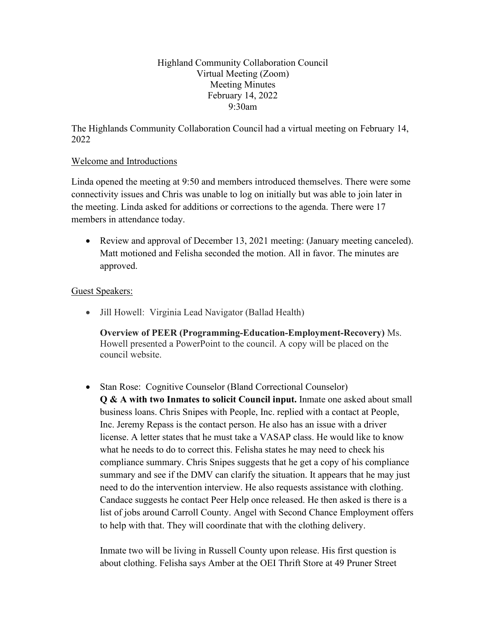Highland Community Collaboration Council Virtual Meeting (Zoom) Meeting Minutes February 14, 2022 9:30am

The Highlands Community Collaboration Council had a virtual meeting on February 14, 2022

# Welcome and Introductions

Linda opened the meeting at 9:50 and members introduced themselves. There were some connectivity issues and Chris was unable to log on initially but was able to join later in the meeting. Linda asked for additions or corrections to the agenda. There were 17 members in attendance today.

• Review and approval of December 13, 2021 meeting: (January meeting canceled). Matt motioned and Felisha seconded the motion. All in favor. The minutes are approved.

### Guest Speakers:

• Jill Howell: Virginia Lead Navigator (Ballad Health)

**Overview of PEER (Programming-Education-Employment-Recovery)** Ms. Howell presented a PowerPoint to the council. A copy will be placed on the council website.

• Stan Rose: Cognitive Counselor (Bland Correctional Counselor) **Q & A with two Inmates to solicit Council input.** Inmate one asked about small business loans. Chris Snipes with People, Inc. replied with a contact at People, Inc. Jeremy Repass is the contact person. He also has an issue with a driver license. A letter states that he must take a VASAP class. He would like to know what he needs to do to correct this. Felisha states he may need to check his compliance summary. Chris Snipes suggests that he get a copy of his compliance summary and see if the DMV can clarify the situation. It appears that he may just need to do the intervention interview. He also requests assistance with clothing. Candace suggests he contact Peer Help once released. He then asked is there is a list of jobs around Carroll County. Angel with Second Chance Employment offers to help with that. They will coordinate that with the clothing delivery.

Inmate two will be living in Russell County upon release. His first question is about clothing. Felisha says Amber at the OEI Thrift Store at 49 Pruner Street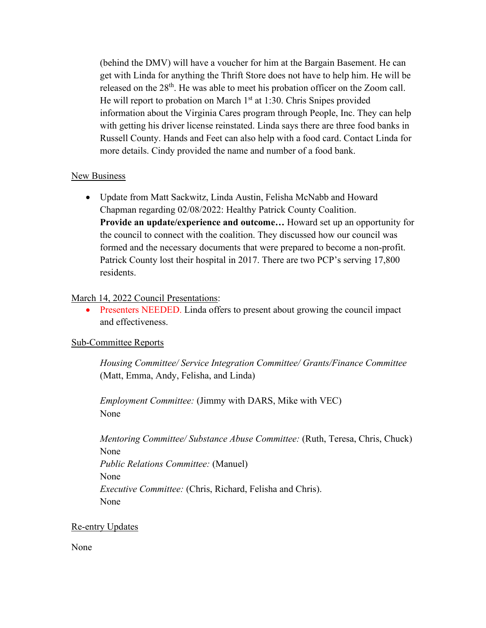(behind the DMV) will have a voucher for him at the Bargain Basement. He can get with Linda for anything the Thrift Store does not have to help him. He will be released on the 28<sup>th</sup>. He was able to meet his probation officer on the Zoom call. He will report to probation on March  $1<sup>st</sup>$  at 1:30. Chris Snipes provided information about the Virginia Cares program through People, Inc. They can help with getting his driver license reinstated. Linda says there are three food banks in Russell County. Hands and Feet can also help with a food card. Contact Linda for more details. Cindy provided the name and number of a food bank.

### New Business

• Update from Matt Sackwitz, Linda Austin, Felisha McNabb and Howard Chapman regarding 02/08/2022: Healthy Patrick County Coalition. **Provide an update/experience and outcome…** Howard set up an opportunity for the council to connect with the coalition. They discussed how our council was formed and the necessary documents that were prepared to become a non-profit. Patrick County lost their hospital in 2017. There are two PCP's serving 17,800 residents.

### March 14, 2022 Council Presentations:

• Presenters NEEDED. Linda offers to present about growing the council impact and effectiveness.

### Sub-Committee Reports

*Housing Committee/ Service Integration Committee/ Grants/Finance Committee* (Matt, Emma, Andy, Felisha, and Linda)

*Employment Committee:* (Jimmy with DARS, Mike with VEC) None

*Mentoring Committee/ Substance Abuse Committee:* (Ruth, Teresa, Chris, Chuck) None *Public Relations Committee:* (Manuel) None *Executive Committee:* (Chris, Richard, Felisha and Chris). None

### Re-entry Updates

None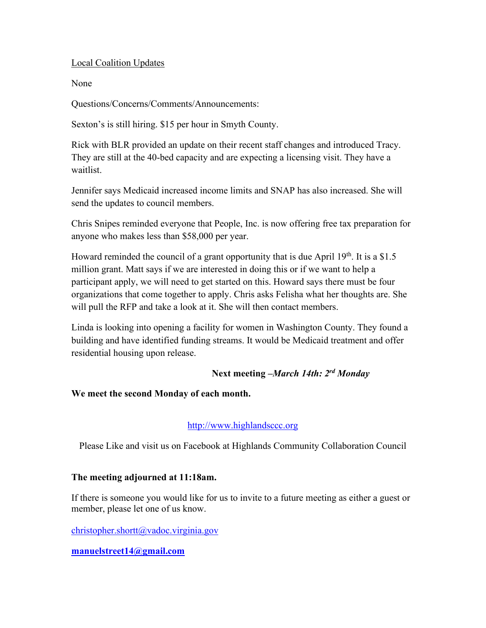# Local Coalition Updates

None

Questions/Concerns/Comments/Announcements:

Sexton's is still hiring. \$15 per hour in Smyth County.

Rick with BLR provided an update on their recent staff changes and introduced Tracy. They are still at the 40-bed capacity and are expecting a licensing visit. They have a waitlist.

Jennifer says Medicaid increased income limits and SNAP has also increased. She will send the updates to council members.

Chris Snipes reminded everyone that People, Inc. is now offering free tax preparation for anyone who makes less than \$58,000 per year.

Howard reminded the council of a grant opportunity that is due April  $19<sup>th</sup>$ . It is a \$1.5 million grant. Matt says if we are interested in doing this or if we want to help a participant apply, we will need to get started on this. Howard says there must be four organizations that come together to apply. Chris asks Felisha what her thoughts are. She will pull the RFP and take a look at it. She will then contact members.

Linda is looking into opening a facility for women in Washington County. They found a building and have identified funding streams. It would be Medicaid treatment and offer residential housing upon release.

# **Next meeting –***March 14th: 2rd Monday*

# **We meet the second Monday of each month.**

# [http://www.highlandsccc.org](http://www.highlandsccc.org/)

Please Like and visit us on Facebook at Highlands Community Collaboration Council

### **The meeting adjourned at 11:18am.**

If there is someone you would like for us to invite to a future meeting as either a guest or member, please let one of us know.

[christopher.shortt@vadoc.virginia.gov](mailto:christopher.shortt@vadoc.virginia.gov)

### **[manuelstreet14@gmail.com](mailto:manuelstreet14@gmail.com)**